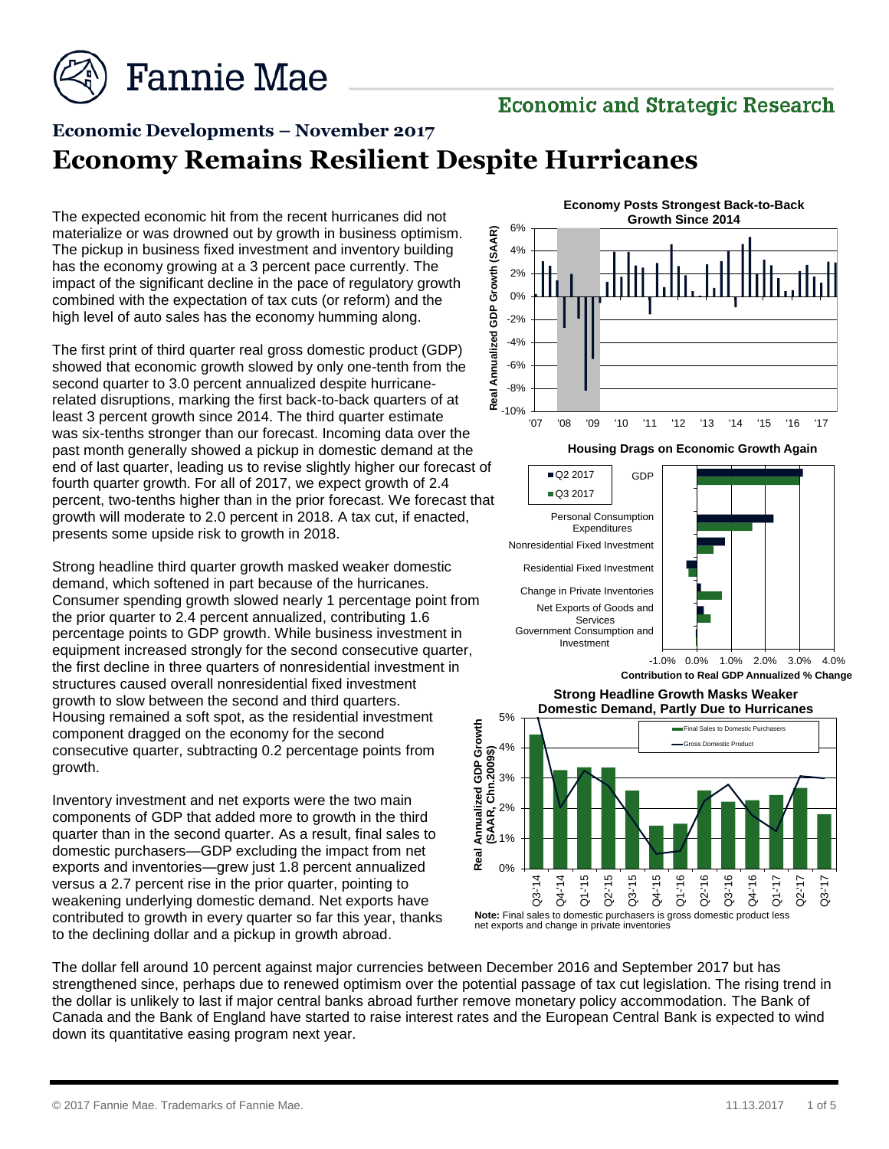

### **Economic and Strategic Research**

# **Economic Developments – November 2017 Economy Remains Resilient Despite Hurricanes**

The expected economic hit from the recent hurricanes did not materialize or was drowned out by growth in business optimism. The pickup in business fixed investment and inventory building has the economy growing at a 3 percent pace currently. The impact of the significant decline in the pace of regulatory growth combined with the expectation of tax cuts (or reform) and the high level of auto sales has the economy humming along.

The first print of third quarter real gross domestic product (GDP) showed that economic growth slowed by only one-tenth from the second quarter to 3.0 percent annualized despite hurricanerelated disruptions, marking the first back-to-back quarters of at least 3 percent growth since 2014. The third quarter estimate was six-tenths stronger than our forecast. Incoming data over the past month generally showed a pickup in domestic demand at the end of last quarter, leading us to revise slightly higher our forecast of fourth quarter growth. For all of 2017, we expect growth of 2.4 percent, two-tenths higher than in the prior forecast. We forecast that growth will moderate to 2.0 percent in 2018. A tax cut, if enacted, presents some upside risk to growth in 2018.

Strong headline third quarter growth masked weaker domestic demand, which softened in part because of the hurricanes. Consumer spending growth slowed nearly 1 percentage point from the prior quarter to 2.4 percent annualized, contributing 1.6 percentage points to GDP growth. While business investment in equipment increased strongly for the second consecutive quarter, the first decline in three quarters of nonresidential investment in structures caused overall nonresidential fixed investment growth to slow between the second and third quarters. Housing remained a soft spot, as the residential investment component dragged on the economy for the second consecutive quarter, subtracting 0.2 percentage points from growth.

Inventory investment and net exports were the two main components of GDP that added more to growth in the third quarter than in the second quarter. As a result, final sales to domestic purchasers—GDP excluding the impact from net exports and inventories—grew just 1.8 percent annualized versus a 2.7 percent rise in the prior quarter, pointing to weakening underlying domestic demand. Net exports have contributed to growth in every quarter so far this year, thanks to the declining dollar and a pickup in growth abroad.







The dollar fell around 10 percent against major currencies between December 2016 and September 2017 but has strengthened since, perhaps due to renewed optimism over the potential passage of tax cut legislation. The rising trend in the dollar is unlikely to last if major central banks abroad further remove monetary policy accommodation. The Bank of Canada and the Bank of England have started to raise interest rates and the European Central Bank is expected to wind down its quantitative easing program next year.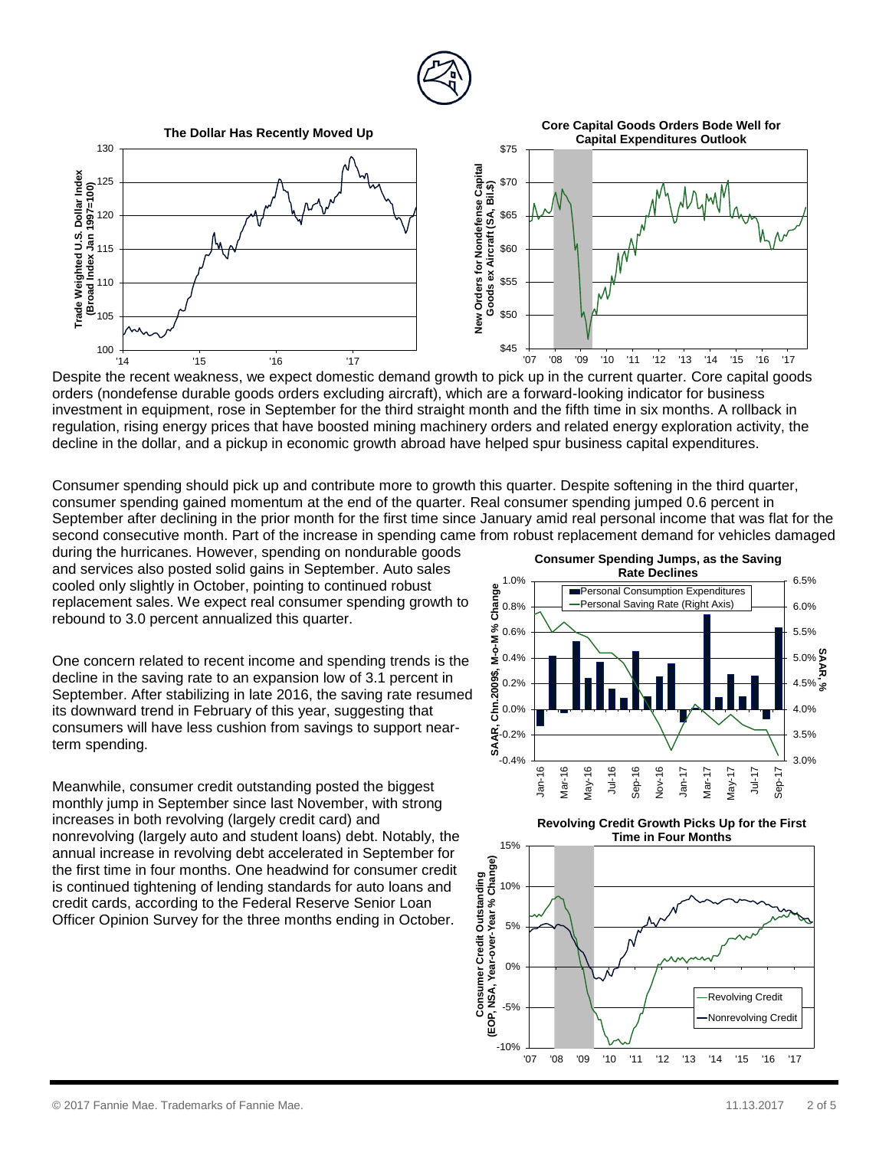



Despite the recent weakness, we expect domestic demand growth to pick up in the current quarter. Core capital goods orders (nondefense durable goods orders excluding aircraft), which are a forward-looking indicator for business investment in equipment, rose in September for the third straight month and the fifth time in six months. A rollback in regulation, rising energy prices that have boosted mining machinery orders and related energy exploration activity, the decline in the dollar, and a pickup in economic growth abroad have helped spur business capital expenditures.

Consumer spending should pick up and contribute more to growth this quarter. Despite softening in the third quarter, consumer spending gained momentum at the end of the quarter. Real consumer spending jumped 0.6 percent in September after declining in the prior month for the first time since January amid real personal income that was flat for the second consecutive month. Part of the increase in spending came from robust replacement demand for vehicles damaged

during the hurricanes. However, spending on nondurable goods and services also posted solid gains in September. Auto sales cooled only slightly in October, pointing to continued robust replacement sales. We expect real consumer spending growth to rebound to 3.0 percent annualized this quarter.

One concern related to recent income and spending trends is the decline in the saving rate to an expansion low of 3.1 percent in September. After stabilizing in late 2016, the saving rate resumed its downward trend in February of this year, suggesting that consumers will have less cushion from savings to support nearterm spending.

Meanwhile, consumer credit outstanding posted the biggest monthly jump in September since last November, with strong increases in both revolving (largely credit card) and nonrevolving (largely auto and student loans) debt. Notably, the annual increase in revolving debt accelerated in September for the first time in four months. One headwind for consumer credit is continued tightening of lending standards for auto loans and credit cards, according to the Federal Reserve Senior Loan Officer Opinion Survey for the three months ending in October.



## **Revolving Credit Growth Picks Up for the First Time in Four Months**

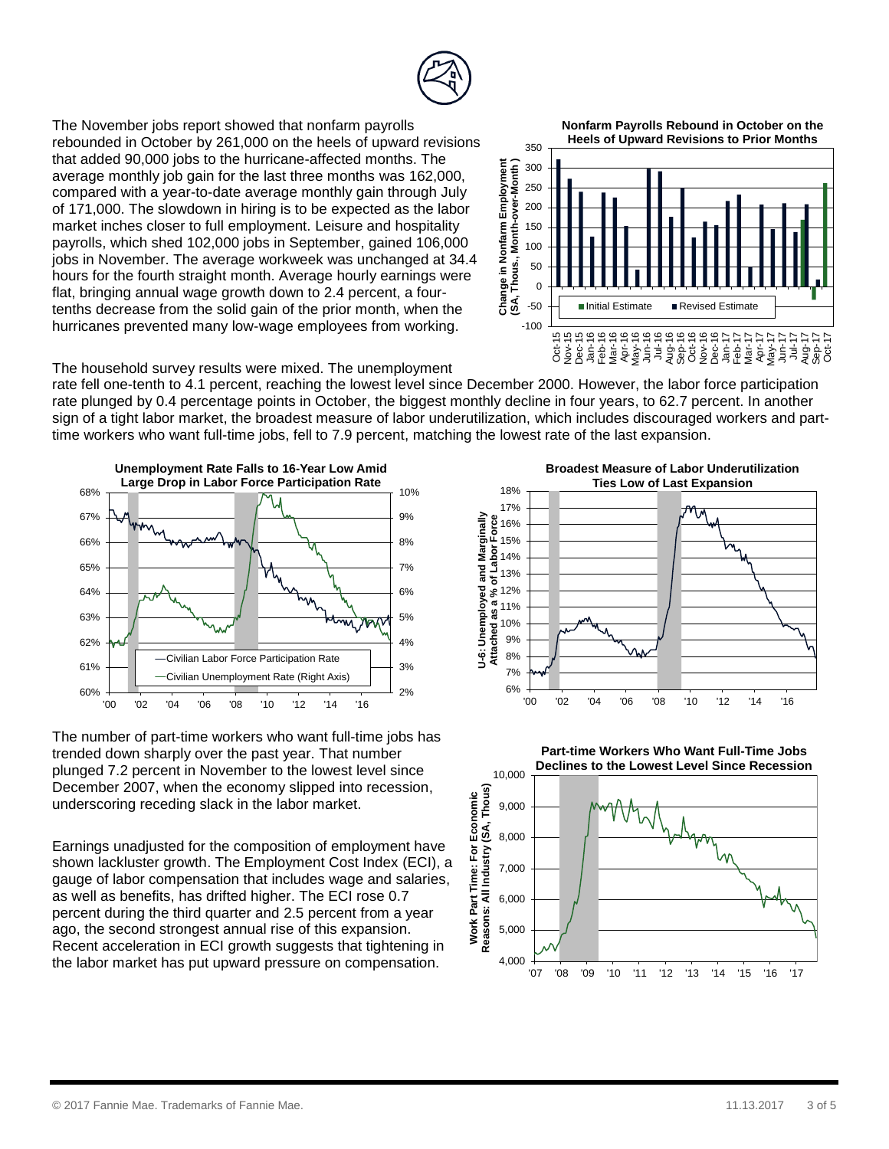

The November jobs report showed that nonfarm payrolls rebounded in October by 261,000 on the heels of upward revisions that added 90,000 jobs to the hurricane-affected months. The average monthly job gain for the last three months was 162,000, compared with a year-to-date average monthly gain through July of 171,000. The slowdown in hiring is to be expected as the labor market inches closer to full employment. Leisure and hospitality payrolls, which shed 102,000 jobs in September, gained 106,000 jobs in November. The average workweek was unchanged at 34.4 hours for the fourth straight month. Average hourly earnings were flat, bringing annual wage growth down to 2.4 percent, a fourtenths decrease from the solid gain of the prior month, when the hurricanes prevented many low-wage employees from working.

**Nonfarm Payrolls Rebound in October on the Heels of Upward Revisions to Prior Months**



The household survey results were mixed. The unemployment

rate fell one-tenth to 4.1 percent, reaching the lowest level since December 2000. However, the labor force participation rate plunged by 0.4 percentage points in October, the biggest monthly decline in four years, to 62.7 percent. In another sign of a tight labor market, the broadest measure of labor underutilization, which includes discouraged workers and parttime workers who want full-time jobs, fell to 7.9 percent, matching the lowest rate of the last expansion.



The number of part-time workers who want full-time jobs has trended down sharply over the past year. That number plunged 7.2 percent in November to the lowest level since December 2007, when the economy slipped into recession, underscoring receding slack in the labor market.

Earnings unadjusted for the composition of employment have shown lackluster growth. The Employment Cost Index (ECI), a gauge of labor compensation that includes wage and salaries, as well as benefits, has drifted higher. The ECI rose 0.7 percent during the third quarter and 2.5 percent from a year ago, the second strongest annual rise of this expansion. Recent acceleration in ECI growth suggests that tightening in the labor market has put upward pressure on compensation.

— 6%<br>00' 7% 8% 9%  $10% +$  $11% +$  $12% +$ 13% 14%  $15% +$  $16% +$ 17% 18% '00 '02 '04 '06 '08 '10 '12 '14 '16 **U-6: Unemployed and Marginally Attached as a % of Labor Force Broadest Measure of Labor Underutilization Ties Low of Last Expansion**

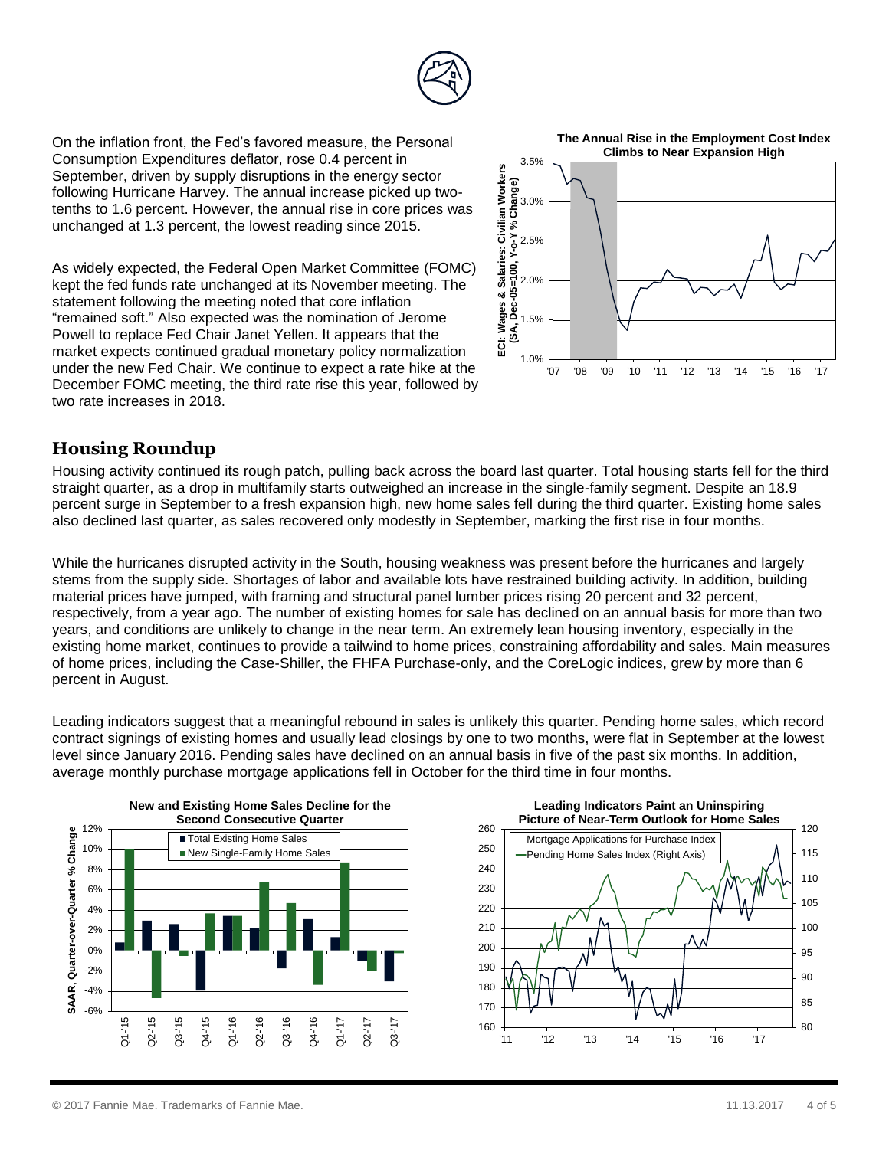

On the inflation front, the Fed's favored measure, the Personal Consumption Expenditures deflator, rose 0.4 percent in September, driven by supply disruptions in the energy sector following Hurricane Harvey. The annual increase picked up twotenths to 1.6 percent. However, the annual rise in core prices was unchanged at 1.3 percent, the lowest reading since 2015.

As widely expected, the Federal Open Market Committee (FOMC) kept the fed funds rate unchanged at its November meeting. The statement following the meeting noted that core inflation "remained soft." Also expected was the nomination of Jerome Powell to replace Fed Chair Janet Yellen. It appears that the market expects continued gradual monetary policy normalization under the new Fed Chair. We continue to expect a rate hike at the December FOMC meeting, the third rate rise this year, followed by two rate increases in 2018.



### **Housing Roundup**

Housing activity continued its rough patch, pulling back across the board last quarter. Total housing starts fell for the third straight quarter, as a drop in multifamily starts outweighed an increase in the single-family segment. Despite an 18.9 percent surge in September to a fresh expansion high, new home sales fell during the third quarter. Existing home sales also declined last quarter, as sales recovered only modestly in September, marking the first rise in four months.

While the hurricanes disrupted activity in the South, housing weakness was present before the hurricanes and largely stems from the supply side. Shortages of labor and available lots have restrained building activity. In addition, building material prices have jumped, with framing and structural panel lumber prices rising 20 percent and 32 percent, respectively, from a year ago. The number of existing homes for sale has declined on an annual basis for more than two years, and conditions are unlikely to change in the near term. An extremely lean housing inventory, especially in the existing home market, continues to provide a tailwind to home prices, constraining affordability and sales. Main measures of home prices, including the Case-Shiller, the FHFA Purchase-only, and the CoreLogic indices, grew by more than 6 percent in August.

Leading indicators suggest that a meaningful rebound in sales is unlikely this quarter. Pending home sales, which record contract signings of existing homes and usually lead closings by one to two months, were flat in September at the lowest level since January 2016. Pending sales have declined on an annual basis in five of the past six months. In addition, average monthly purchase mortgage applications fell in October for the third time in four months.





© 2017 Fannie Mae. Trademarks of Fannie Mae. 11.13.2017 4 of 5